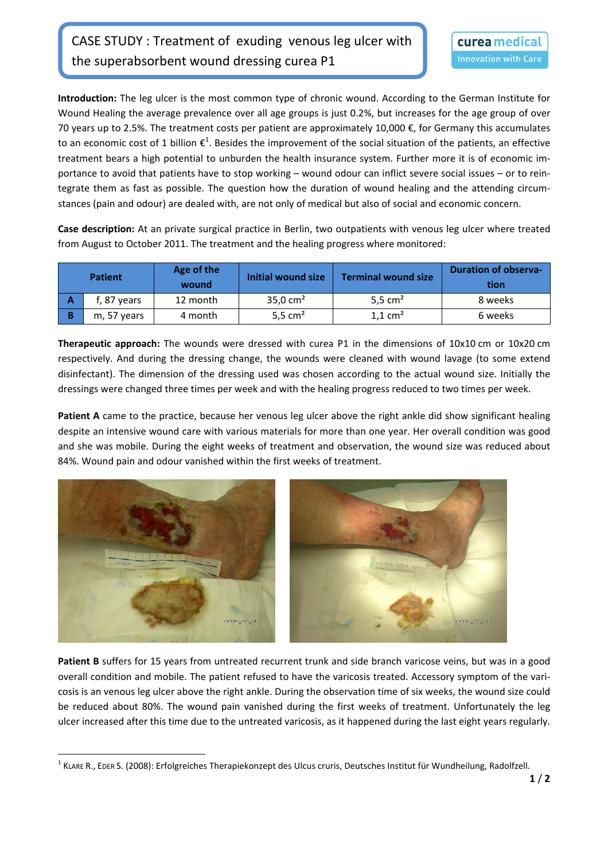**Introduction:** The leg ulcer is the most common type of chronic wound. According to the German Institute for Wound Healing the average prevalence over all age groups is just 0.2%, but increases for the age group of over 70 years up to 2.5%. The treatment costs per patient are approximately 10,000 €, for Germany this accumulates to an economic cost of 1 billion  $\epsilon^1$ . Besides the improvement of the social situation of the patients, an effective treatment bears a high potential to unburden the health insurance system. Further more it is of economic im‐ portance to avoid that patients have to stop working – wound odour can inflict severe social issues – or to rein‐ tegrate them as fast as possible. The question how the duration of wound healing and the attending circumstances (pain and odour) are dealed with, are not only of medical but also of social and economic concern.

**Case description:** At an private surgical practice in Berlin, two outpatients with venous leg ulcer where treated from August to October 2011. The treatment and the healing progress where monitored:

| <b>Patient</b> |             | Age of the<br>wound | Initial wound size | <b>Terminal wound size</b> | <b>Duration of observa-</b><br>tion |
|----------------|-------------|---------------------|--------------------|----------------------------|-------------------------------------|
|                | f, 87 years | 12 month            | 35,0 $cm2$         | 5,5 $cm2$                  | 8 weeks                             |
|                | m, 57 years | 4 month             | 5,5 $cm2$          | $1.1 \text{ cm}^2$         | 6 weeks                             |

**Therapeutic approach:** The wounds were dressed with curea P1 in the dimensions of 10x10 cm or 10x20 cm respectively. And during the dressing change, the wounds were cleaned with wound lavage (to some extend disinfectant). The dimension of the dressing used was chosen according to the actual wound size. Initially the dressings were changed three times per week and with the healing progress reduced to two times per week.

**Patient A** came to the practice, because her venous leg ulcer above the right ankle did show significant healing despite an intensive wound care with various materials for more than one year. Her overall condition was good and she was mobile. During the eight weeks of treatment and observation, the wound size was reduced about 84%. Wound pain and odour vanished within the first weeks of treatment.



**Patient B** suffers for 15 years from untreated recurrent trunk and side branch varicose veins, but was in a good overall condition and mobile. The patient refused to have the varicosis treated. Accessory symptom of the vari‐ cosis is an venous leg ulcer above the right ankle. During the observation time of six weeks, the wound size could be reduced about 80%. The wound pain vanished during the first weeks of treatment. Unfortunately the leg ulcer increased after this time due to the untreated varicosis, as it happened during the last eight years regularly.

 <sup>1</sup> KLARE R., EDER S. (2008): Erfolgreiches Therapiekonzept des Ulcus cruris, Deutsches Institut für Wundheilung, Radolfzell.